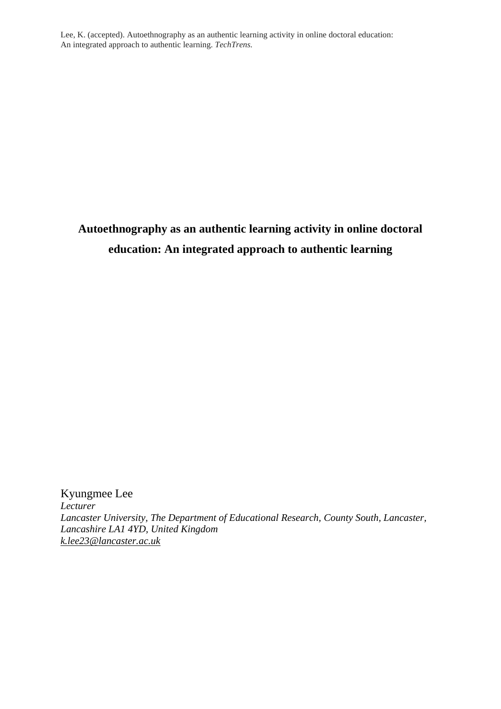# **Autoethnography as an authentic learning activity in online doctoral education: An integrated approach to authentic learning**

Kyungmee Lee *Lecturer Lancaster University, The Department of Educational Research, County South, Lancaster, Lancashire LA1 4YD, United Kingdom [k.lee23@lancaster.ac.uk](mailto:k.lee23@lancaster.ac.uk)*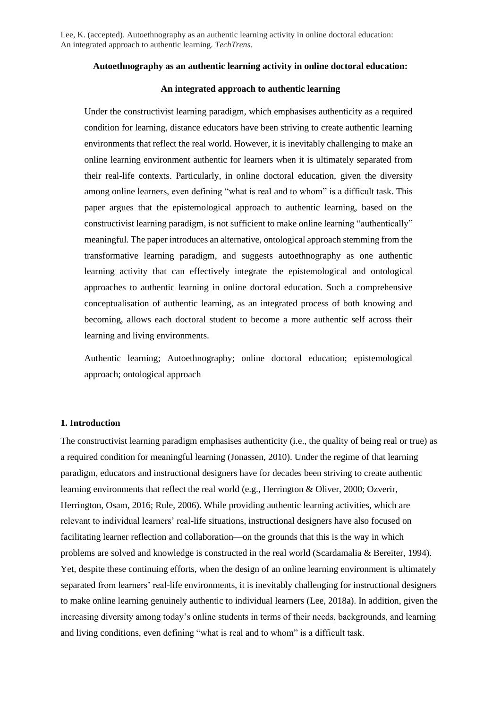## **Autoethnography as an authentic learning activity in online doctoral education:**

# **An integrated approach to authentic learning**

Under the constructivist learning paradigm, which emphasises authenticity as a required condition for learning, distance educators have been striving to create authentic learning environments that reflect the real world. However, it is inevitably challenging to make an online learning environment authentic for learners when it is ultimately separated from their real-life contexts. Particularly, in online doctoral education, given the diversity among online learners, even defining "what is real and to whom" is a difficult task. This paper argues that the epistemological approach to authentic learning, based on the constructivist learning paradigm, is not sufficient to make online learning "authentically" meaningful. The paper introduces an alternative, ontological approach stemming from the transformative learning paradigm, and suggests autoethnography as one authentic learning activity that can effectively integrate the epistemological and ontological approaches to authentic learning in online doctoral education. Such a comprehensive conceptualisation of authentic learning, as an integrated process of both knowing and becoming, allows each doctoral student to become a more authentic self across their learning and living environments.

Authentic learning; Autoethnography; online doctoral education; epistemological approach; ontological approach

## **1. Introduction**

The constructivist learning paradigm emphasises authenticity (i.e., the quality of being real or true) as a required condition for meaningful learning (Jonassen, 2010). Under the regime of that learning paradigm, educators and instructional designers have for decades been striving to create authentic learning environments that reflect the real world (e.g., Herrington & Oliver, 2000; Ozverir, Herrington, Osam, 2016; Rule, 2006). While providing authentic learning activities, which are relevant to individual learners' real-life situations, instructional designers have also focused on facilitating learner reflection and collaboration—on the grounds that this is the way in which problems are solved and knowledge is constructed in the real world (Scardamalia & Bereiter, 1994). Yet, despite these continuing efforts, when the design of an online learning environment is ultimately separated from learners' real-life environments, it is inevitably challenging for instructional designers to make online learning genuinely authentic to individual learners (Lee, 2018a). In addition, given the increasing diversity among today's online students in terms of their needs, backgrounds, and learning and living conditions, even defining "what is real and to whom" is a difficult task.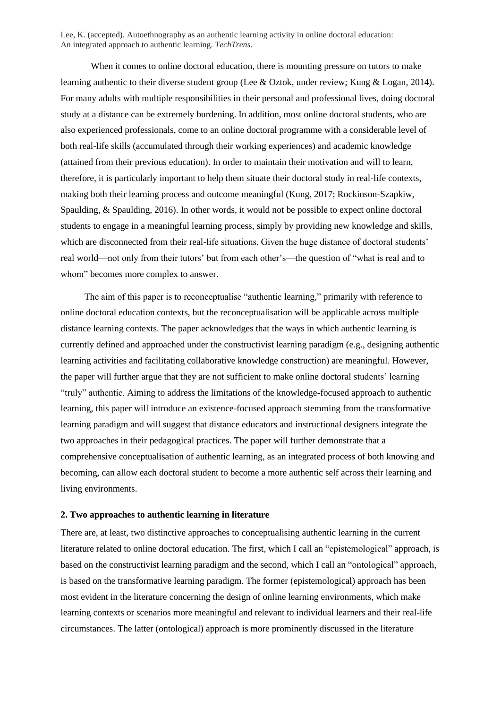When it comes to online doctoral education, there is mounting pressure on tutors to make learning authentic to their diverse student group (Lee & Oztok, under review; Kung & Logan, 2014). For many adults with multiple responsibilities in their personal and professional lives, doing doctoral study at a distance can be extremely burdening. In addition, most online doctoral students, who are also experienced professionals, come to an online doctoral programme with a considerable level of both real-life skills (accumulated through their working experiences) and academic knowledge (attained from their previous education). In order to maintain their motivation and will to learn, therefore, it is particularly important to help them situate their doctoral study in real-life contexts, making both their learning process and outcome meaningful (Kung, 2017; Rockinson-Szapkiw, Spaulding, & Spaulding, 2016). In other words, it would not be possible to expect online doctoral students to engage in a meaningful learning process, simply by providing new knowledge and skills, which are disconnected from their real-life situations. Given the huge distance of doctoral students' real world—not only from their tutors' but from each other's—the question of "what is real and to whom" becomes more complex to answer.

The aim of this paper is to reconceptualise "authentic learning," primarily with reference to online doctoral education contexts, but the reconceptualisation will be applicable across multiple distance learning contexts. The paper acknowledges that the ways in which authentic learning is currently defined and approached under the constructivist learning paradigm (e.g., designing authentic learning activities and facilitating collaborative knowledge construction) are meaningful. However, the paper will further argue that they are not sufficient to make online doctoral students' learning "truly" authentic. Aiming to address the limitations of the knowledge-focused approach to authentic learning, this paper will introduce an existence-focused approach stemming from the transformative learning paradigm and will suggest that distance educators and instructional designers integrate the two approaches in their pedagogical practices. The paper will further demonstrate that a comprehensive conceptualisation of authentic learning, as an integrated process of both knowing and becoming, can allow each doctoral student to become a more authentic self across their learning and living environments.

#### **2. Two approaches to authentic learning in literature**

There are, at least, two distinctive approaches to conceptualising authentic learning in the current literature related to online doctoral education. The first, which I call an "epistemological" approach, is based on the constructivist learning paradigm and the second, which I call an "ontological" approach, is based on the transformative learning paradigm. The former (epistemological) approach has been most evident in the literature concerning the design of online learning environments, which make learning contexts or scenarios more meaningful and relevant to individual learners and their real-life circumstances. The latter (ontological) approach is more prominently discussed in the literature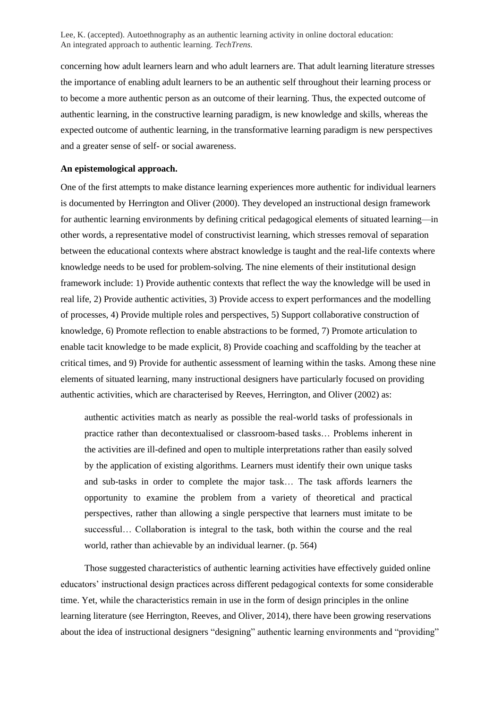concerning how adult learners learn and who adult learners are. That adult learning literature stresses the importance of enabling adult learners to be an authentic self throughout their learning process or to become a more authentic person as an outcome of their learning. Thus, the expected outcome of authentic learning, in the constructive learning paradigm, is new knowledge and skills, whereas the expected outcome of authentic learning, in the transformative learning paradigm is new perspectives and a greater sense of self- or social awareness.

## **An epistemological approach.**

One of the first attempts to make distance learning experiences more authentic for individual learners is documented by Herrington and Oliver (2000). They developed an instructional design framework for authentic learning environments by defining critical pedagogical elements of situated learning—in other words, a representative model of constructivist learning, which stresses removal of separation between the educational contexts where abstract knowledge is taught and the real-life contexts where knowledge needs to be used for problem-solving. The nine elements of their institutional design framework include: 1) Provide authentic contexts that reflect the way the knowledge will be used in real life, 2) Provide authentic activities, 3) Provide access to expert performances and the modelling of processes, 4) Provide multiple roles and perspectives, 5) Support collaborative construction of knowledge, 6) Promote reflection to enable abstractions to be formed, 7) Promote articulation to enable tacit knowledge to be made explicit, 8) Provide coaching and scaffolding by the teacher at critical times, and 9) Provide for authentic assessment of learning within the tasks. Among these nine elements of situated learning, many instructional designers have particularly focused on providing authentic activities, which are characterised by Reeves, Herrington, and Oliver (2002) as:

authentic activities match as nearly as possible the real-world tasks of professionals in practice rather than decontextualised or classroom-based tasks… Problems inherent in the activities are ill-defined and open to multiple interpretations rather than easily solved by the application of existing algorithms. Learners must identify their own unique tasks and sub-tasks in order to complete the major task… The task affords learners the opportunity to examine the problem from a variety of theoretical and practical perspectives, rather than allowing a single perspective that learners must imitate to be successful… Collaboration is integral to the task, both within the course and the real world, rather than achievable by an individual learner. (p. 564)

Those suggested characteristics of authentic learning activities have effectively guided online educators' instructional design practices across different pedagogical contexts for some considerable time. Yet, while the characteristics remain in use in the form of design principles in the online learning literature (see Herrington, Reeves, and Oliver, 2014), there have been growing reservations about the idea of instructional designers "designing" authentic learning environments and "providing"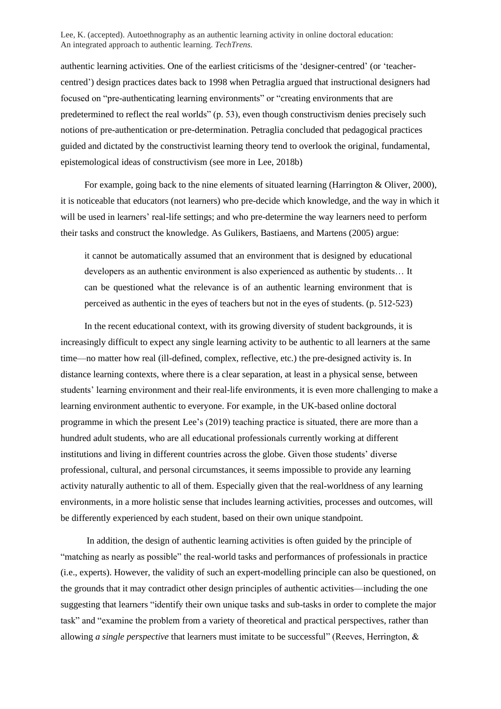authentic learning activities. One of the earliest criticisms of the 'designer-centred' (or 'teachercentred') design practices dates back to 1998 when Petraglia argued that instructional designers had focused on "pre-authenticating learning environments" or "creating environments that are predetermined to reflect the real worlds" (p. 53), even though constructivism denies precisely such notions of pre-authentication or pre-determination. Petraglia concluded that pedagogical practices guided and dictated by the constructivist learning theory tend to overlook the original, fundamental, epistemological ideas of constructivism (see more in Lee, 2018b)

For example, going back to the nine elements of situated learning (Harrington & Oliver, 2000), it is noticeable that educators (not learners) who pre-decide which knowledge, and the way in which it will be used in learners' real-life settings; and who pre-determine the way learners need to perform their tasks and construct the knowledge. As Gulikers, Bastiaens, and Martens (2005) argue:

it cannot be automatically assumed that an environment that is designed by educational developers as an authentic environment is also experienced as authentic by students… It can be questioned what the relevance is of an authentic learning environment that is perceived as authentic in the eyes of teachers but not in the eyes of students. (p. 512-523)

In the recent educational context, with its growing diversity of student backgrounds, it is increasingly difficult to expect any single learning activity to be authentic to all learners at the same time—no matter how real (ill-defined, complex, reflective, etc.) the pre-designed activity is. In distance learning contexts, where there is a clear separation, at least in a physical sense, between students' learning environment and their real-life environments, it is even more challenging to make a learning environment authentic to everyone. For example, in the UK-based online doctoral programme in which the present Lee's (2019) teaching practice is situated, there are more than a hundred adult students, who are all educational professionals currently working at different institutions and living in different countries across the globe. Given those students' diverse professional, cultural, and personal circumstances, it seems impossible to provide any learning activity naturally authentic to all of them. Especially given that the real-worldness of any learning environments, in a more holistic sense that includes learning activities, processes and outcomes, will be differently experienced by each student, based on their own unique standpoint.

In addition, the design of authentic learning activities is often guided by the principle of "matching as nearly as possible" the real-world tasks and performances of professionals in practice (i.e., experts). However, the validity of such an expert-modelling principle can also be questioned, on the grounds that it may contradict other design principles of authentic activities—including the one suggesting that learners "identify their own unique tasks and sub-tasks in order to complete the major task" and "examine the problem from a variety of theoretical and practical perspectives, rather than allowing *a single perspective* that learners must imitate to be successful" (Reeves, Herrington, &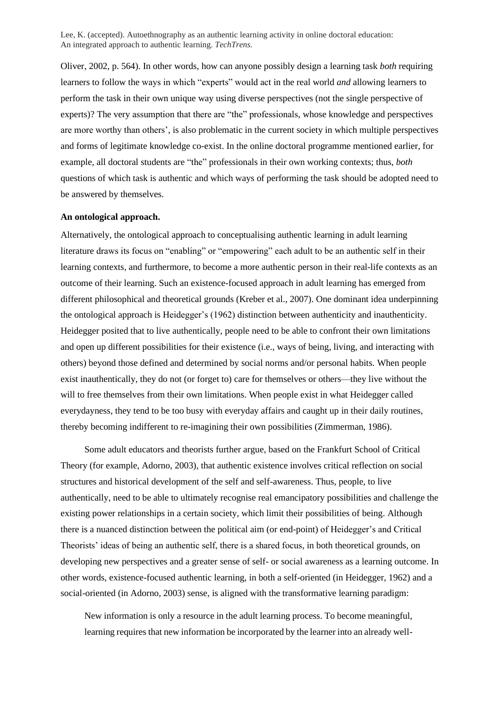Oliver, 2002, p. 564). In other words, how can anyone possibly design a learning task *both* requiring learners to follow the ways in which "experts" would act in the real world *and* allowing learners to perform the task in their own unique way using diverse perspectives (not the single perspective of experts)? The very assumption that there are "the" professionals, whose knowledge and perspectives are more worthy than others', is also problematic in the current society in which multiple perspectives and forms of legitimate knowledge co-exist. In the online doctoral programme mentioned earlier, for example, all doctoral students are "the" professionals in their own working contexts; thus, *both* questions of which task is authentic and which ways of performing the task should be adopted need to be answered by themselves.

# **An ontological approach.**

Alternatively, the ontological approach to conceptualising authentic learning in adult learning literature draws its focus on "enabling" or "empowering" each adult to be an authentic self in their learning contexts, and furthermore, to become a more authentic person in their real-life contexts as an outcome of their learning. Such an existence-focused approach in adult learning has emerged from different philosophical and theoretical grounds (Kreber et al., 2007). One dominant idea underpinning the ontological approach is Heidegger's (1962) distinction between authenticity and inauthenticity. Heidegger posited that to live authentically, people need to be able to confront their own limitations and open up different possibilities for their existence (i.e., ways of being, living, and interacting with others) beyond those defined and determined by social norms and/or personal habits. When people exist inauthentically, they do not (or forget to) care for themselves or others—they live without the will to free themselves from their own limitations. When people exist in what Heidegger called everydayness, they tend to be too busy with everyday affairs and caught up in their daily routines, thereby becoming indifferent to re-imagining their own possibilities (Zimmerman, 1986).

Some adult educators and theorists further argue, based on the Frankfurt School of Critical Theory (for example, Adorno, 2003), that authentic existence involves critical reflection on social structures and historical development of the self and self-awareness. Thus, people, to live authentically, need to be able to ultimately recognise real emancipatory possibilities and challenge the existing power relationships in a certain society, which limit their possibilities of being. Although there is a nuanced distinction between the political aim (or end-point) of Heidegger's and Critical Theorists' ideas of being an authentic self, there is a shared focus, in both theoretical grounds, on developing new perspectives and a greater sense of self- or social awareness as a learning outcome. In other words, existence-focused authentic learning, in both a self-oriented (in Heidegger, 1962) and a social-oriented (in Adorno, 2003) sense, is aligned with the transformative learning paradigm:

New information is only a resource in the adult learning process. To become meaningful, learning requires that new information be incorporated by the learner into an already well-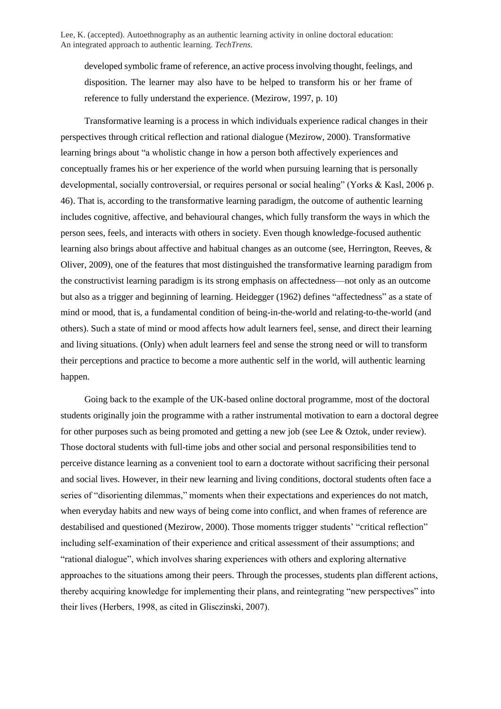developed symbolic frame of reference, an active process involving thought, feelings, and disposition. The learner may also have to be helped to transform his or her frame of reference to fully understand the experience. (Mezirow, 1997, p. 10)

Transformative learning is a process in which individuals experience radical changes in their perspectives through critical reflection and rational dialogue (Mezirow, 2000). Transformative learning brings about "a wholistic change in how a person both affectively experiences and conceptually frames his or her experience of the world when pursuing learning that is personally developmental, socially controversial, or requires personal or social healing" (Yorks & Kasl, 2006 p. 46). That is, according to the transformative learning paradigm, the outcome of authentic learning includes cognitive, affective, and behavioural changes, which fully transform the ways in which the person sees, feels, and interacts with others in society. Even though knowledge-focused authentic learning also brings about affective and habitual changes as an outcome (see, Herrington, Reeves, & Oliver, 2009), one of the features that most distinguished the transformative learning paradigm from the constructivist learning paradigm is its strong emphasis on affectedness—not only as an outcome but also as a trigger and beginning of learning. Heidegger (1962) defines "affectedness" as a state of mind or mood, that is, a fundamental condition of being-in-the-world and relating-to-the-world (and others). Such a state of mind or mood affects how adult learners feel, sense, and direct their learning and living situations. (Only) when adult learners feel and sense the strong need or will to transform their perceptions and practice to become a more authentic self in the world, will authentic learning happen.

Going back to the example of the UK-based online doctoral programme, most of the doctoral students originally join the programme with a rather instrumental motivation to earn a doctoral degree for other purposes such as being promoted and getting a new job (see Lee & Oztok, under review). Those doctoral students with full-time jobs and other social and personal responsibilities tend to perceive distance learning as a convenient tool to earn a doctorate without sacrificing their personal and social lives. However, in their new learning and living conditions, doctoral students often face a series of "disorienting dilemmas," moments when their expectations and experiences do not match, when everyday habits and new ways of being come into conflict, and when frames of reference are destabilised and questioned (Mezirow, 2000). Those moments trigger students' "critical reflection" including self-examination of their experience and critical assessment of their assumptions; and "rational dialogue", which involves sharing experiences with others and exploring alternative approaches to the situations among their peers. Through the processes, students plan different actions, thereby acquiring knowledge for implementing their plans, and reintegrating "new perspectives" into their lives (Herbers, 1998, as cited in Glisczinski, 2007).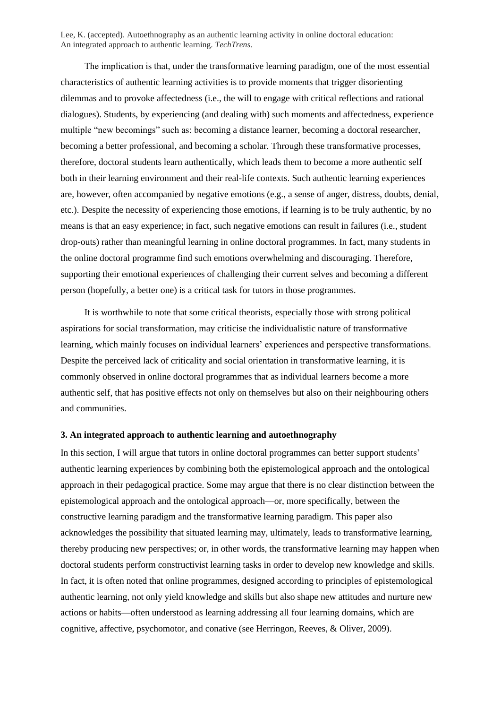The implication is that, under the transformative learning paradigm, one of the most essential characteristics of authentic learning activities is to provide moments that trigger disorienting dilemmas and to provoke affectedness (i.e., the will to engage with critical reflections and rational dialogues). Students, by experiencing (and dealing with) such moments and affectedness, experience multiple "new becomings" such as: becoming a distance learner, becoming a doctoral researcher, becoming a better professional, and becoming a scholar. Through these transformative processes, therefore, doctoral students learn authentically, which leads them to become a more authentic self both in their learning environment and their real-life contexts. Such authentic learning experiences are, however, often accompanied by negative emotions (e.g., a sense of anger, distress, doubts, denial, etc.). Despite the necessity of experiencing those emotions, if learning is to be truly authentic, by no means is that an easy experience; in fact, such negative emotions can result in failures (i.e., student drop-outs) rather than meaningful learning in online doctoral programmes. In fact, many students in the online doctoral programme find such emotions overwhelming and discouraging. Therefore, supporting their emotional experiences of challenging their current selves and becoming a different person (hopefully, a better one) is a critical task for tutors in those programmes.

It is worthwhile to note that some critical theorists, especially those with strong political aspirations for social transformation, may criticise the individualistic nature of transformative learning, which mainly focuses on individual learners' experiences and perspective transformations. Despite the perceived lack of criticality and social orientation in transformative learning, it is commonly observed in online doctoral programmes that as individual learners become a more authentic self, that has positive effects not only on themselves but also on their neighbouring others and communities.

## **3. An integrated approach to authentic learning and autoethnography**

In this section, I will argue that tutors in online doctoral programmes can better support students' authentic learning experiences by combining both the epistemological approach and the ontological approach in their pedagogical practice. Some may argue that there is no clear distinction between the epistemological approach and the ontological approach—or, more specifically, between the constructive learning paradigm and the transformative learning paradigm. This paper also acknowledges the possibility that situated learning may, ultimately, leads to transformative learning, thereby producing new perspectives; or, in other words, the transformative learning may happen when doctoral students perform constructivist learning tasks in order to develop new knowledge and skills. In fact, it is often noted that online programmes, designed according to principles of epistemological authentic learning, not only yield knowledge and skills but also shape new attitudes and nurture new actions or habits—often understood as learning addressing all four learning domains, which are cognitive, affective, psychomotor, and conative (see Herringon, Reeves, & Oliver, 2009).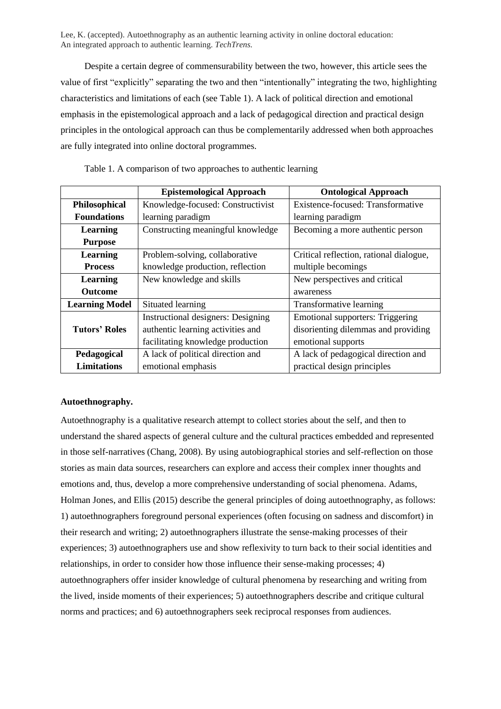Despite a certain degree of commensurability between the two, however, this article sees the value of first "explicitly" separating the two and then "intentionally" integrating the two, highlighting characteristics and limitations of each (see Table 1). A lack of political direction and emotional emphasis in the epistemological approach and a lack of pedagogical direction and practical design principles in the ontological approach can thus be complementarily addressed when both approaches are fully integrated into online doctoral programmes.

|                       | <b>Epistemological Approach</b>    | <b>Ontological Approach</b>             |
|-----------------------|------------------------------------|-----------------------------------------|
| Philosophical         | Knowledge-focused: Constructivist  | Existence-focused: Transformative       |
| <b>Foundations</b>    | learning paradigm                  | learning paradigm                       |
| Learning              | Constructing meaningful knowledge  | Becoming a more authentic person        |
| <b>Purpose</b>        |                                    |                                         |
| Learning              | Problem-solving, collaborative     | Critical reflection, rational dialogue, |
| <b>Process</b>        | knowledge production, reflection   | multiple becomings                      |
| Learning              | New knowledge and skills           | New perspectives and critical           |
| <b>Outcome</b>        |                                    | awareness                               |
| <b>Learning Model</b> | Situated learning                  | Transformative learning                 |
|                       | Instructional designers: Designing | <b>Emotional supporters: Triggering</b> |
| <b>Tutors' Roles</b>  | authentic learning activities and  | disorienting dilemmas and providing     |
|                       | facilitating knowledge production  | emotional supports                      |
| Pedagogical           | A lack of political direction and  | A lack of pedagogical direction and     |
| <b>Limitations</b>    | emotional emphasis                 | practical design principles             |

Table 1. A comparison of two approaches to authentic learning

# **Autoethnography.**

Autoethnography is a qualitative research attempt to collect stories about the self, and then to understand the shared aspects of general culture and the cultural practices embedded and represented in those self-narratives (Chang, 2008). By using autobiographical stories and self-reflection on those stories as main data sources, researchers can explore and access their complex inner thoughts and emotions and, thus, develop a more comprehensive understanding of social phenomena. Adams, Holman Jones, and Ellis (2015) describe the general principles of doing autoethnography, as follows: 1) autoethnographers foreground personal experiences (often focusing on sadness and discomfort) in their research and writing; 2) autoethnographers illustrate the sense-making processes of their experiences; 3) autoethnographers use and show reflexivity to turn back to their social identities and relationships, in order to consider how those influence their sense-making processes; 4) autoethnographers offer insider knowledge of cultural phenomena by researching and writing from the lived, inside moments of their experiences; 5) autoethnographers describe and critique cultural norms and practices; and 6) autoethnographers seek reciprocal responses from audiences.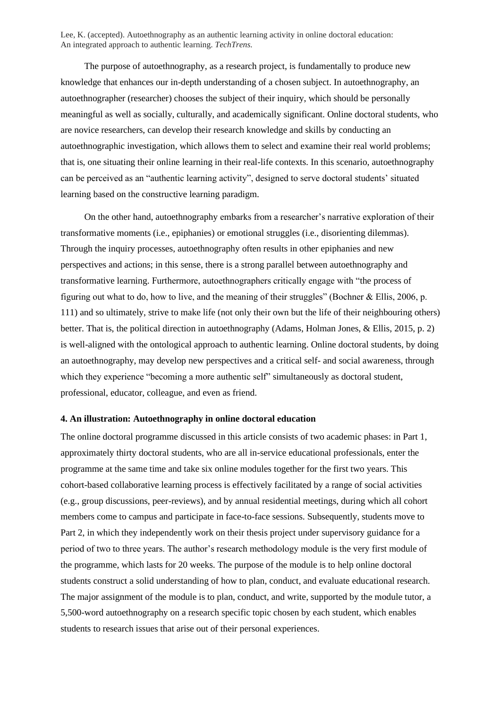The purpose of autoethnography, as a research project, is fundamentally to produce new knowledge that enhances our in-depth understanding of a chosen subject. In autoethnography, an autoethnographer (researcher) chooses the subject of their inquiry, which should be personally meaningful as well as socially, culturally, and academically significant. Online doctoral students, who are novice researchers, can develop their research knowledge and skills by conducting an autoethnographic investigation, which allows them to select and examine their real world problems; that is, one situating their online learning in their real-life contexts. In this scenario, autoethnography can be perceived as an "authentic learning activity", designed to serve doctoral students' situated learning based on the constructive learning paradigm.

On the other hand, autoethnography embarks from a researcher's narrative exploration of their transformative moments (i.e., epiphanies) or emotional struggles (i.e., disorienting dilemmas). Through the inquiry processes, autoethnography often results in other epiphanies and new perspectives and actions; in this sense, there is a strong parallel between autoethnography and transformative learning. Furthermore, autoethnographers critically engage with "the process of figuring out what to do, how to live, and the meaning of their struggles" (Bochner & Ellis, 2006, p. 111) and so ultimately, strive to make life (not only their own but the life of their neighbouring others) better. That is, the political direction in autoethnography (Adams, Holman Jones, & Ellis, 2015, p. 2) is well-aligned with the ontological approach to authentic learning. Online doctoral students, by doing an autoethnography, may develop new perspectives and a critical self- and social awareness, through which they experience "becoming a more authentic self" simultaneously as doctoral student, professional, educator, colleague, and even as friend.

## **4. An illustration: Autoethnography in online doctoral education**

The online doctoral programme discussed in this article consists of two academic phases: in Part 1, approximately thirty doctoral students, who are all in-service educational professionals, enter the programme at the same time and take six online modules together for the first two years. This cohort-based collaborative learning process is effectively facilitated by a range of social activities (e.g., group discussions, peer-reviews), and by annual residential meetings, during which all cohort members come to campus and participate in face-to-face sessions. Subsequently, students move to Part 2, in which they independently work on their thesis project under supervisory guidance for a period of two to three years. The author's research methodology module is the very first module of the programme, which lasts for 20 weeks. The purpose of the module is to help online doctoral students construct a solid understanding of how to plan, conduct, and evaluate educational research. The major assignment of the module is to plan, conduct, and write, supported by the module tutor, a 5,500-word autoethnography on a research specific topic chosen by each student, which enables students to research issues that arise out of their personal experiences.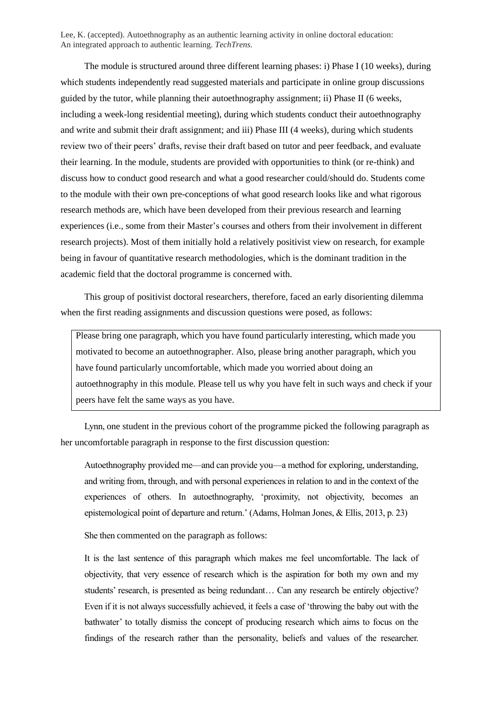The module is structured around three different learning phases: i) Phase I (10 weeks), during which students independently read suggested materials and participate in online group discussions guided by the tutor, while planning their autoethnography assignment; ii) Phase II (6 weeks, including a week-long residential meeting), during which students conduct their autoethnography and write and submit their draft assignment; and iii) Phase III (4 weeks), during which students review two of their peers' drafts, revise their draft based on tutor and peer feedback, and evaluate their learning. In the module, students are provided with opportunities to think (or re-think) and discuss how to conduct good research and what a good researcher could/should do. Students come to the module with their own pre-conceptions of what good research looks like and what rigorous research methods are, which have been developed from their previous research and learning experiences (i.e., some from their Master's courses and others from their involvement in different research projects). Most of them initially hold a relatively positivist view on research, for example being in favour of quantitative research methodologies, which is the dominant tradition in the academic field that the doctoral programme is concerned with.

This group of positivist doctoral researchers, therefore, faced an early disorienting dilemma when the first reading assignments and discussion questions were posed, as follows:

Please bring one paragraph, which you have found particularly interesting, which made you motivated to become an autoethnographer. Also, please bring another paragraph, which you have found particularly uncomfortable, which made you worried about doing an autoethnography in this module. Please tell us why you have felt in such ways and check if your peers have felt the same ways as you have.

Lynn, one student in the previous cohort of the programme picked the following paragraph as her uncomfortable paragraph in response to the first discussion question:

Autoethnography provided me—and can provide you—a method for exploring, understanding, and writing from, through, and with personal experiences in relation to and in the context of the experiences of others. In autoethnography, 'proximity, not objectivity, becomes an epistemological point of departure and return.' (Adams, Holman Jones, & Ellis, 2013, p. 23)

She then commented on the paragraph as follows:

It is the last sentence of this paragraph which makes me feel uncomfortable. The lack of objectivity, that very essence of research which is the aspiration for both my own and my students' research, is presented as being redundant… Can any research be entirely objective? Even if it is not always successfully achieved, it feels a case of 'throwing the baby out with the bathwater' to totally dismiss the concept of producing research which aims to focus on the findings of the research rather than the personality, beliefs and values of the researcher.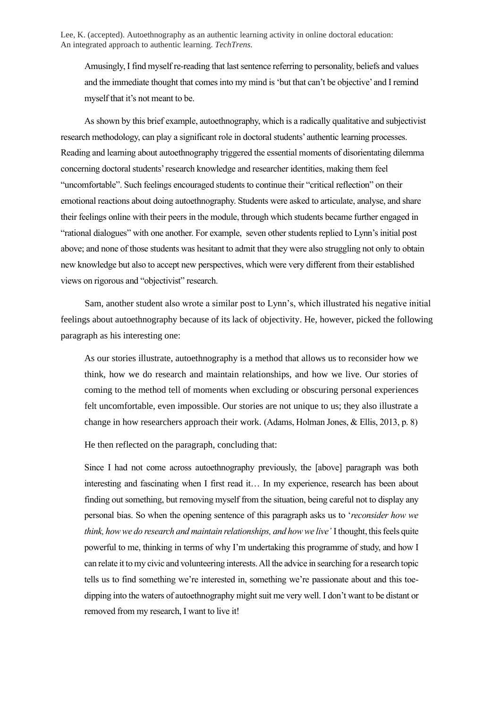Amusingly, I find myself re-reading that last sentence referring to personality, beliefs and values and the immediate thought that comes into my mind is 'but that can't be objective' and I remind myself that it's not meant to be.

As shown by this brief example, autoethnography, which is a radically qualitative and subjectivist research methodology, can play a significant role in doctoral students' authentic learning processes. Reading and learning about autoethnography triggered the essential moments of disorientating dilemma concerning doctoral students' research knowledge and researcher identities, making them feel "uncomfortable". Such feelings encouraged students to continue their "critical reflection" on their emotional reactions about doing autoethnography. Students were asked to articulate, analyse, and share their feelings online with their peers in the module, through which students became further engaged in "rational dialogues" with one another. For example, seven other students replied to Lynn's initial post above; and none of those students was hesitant to admit that they were also struggling not only to obtain new knowledge but also to accept new perspectives, which were very different from their established views on rigorous and "objectivist" research.

Sam, another student also wrote a similar post to Lynn's, which illustrated his negative initial feelings about autoethnography because of its lack of objectivity. He, however, picked the following paragraph as his interesting one:

As our stories illustrate, autoethnography is a method that allows us to reconsider how we think, how we do research and maintain relationships, and how we live. Our stories of coming to the method tell of moments when excluding or obscuring personal experiences felt uncomfortable, even impossible. Our stories are not unique to us; they also illustrate a change in how researchers approach their work. (Adams, Holman Jones, & Ellis, 2013, p. 8)

He then reflected on the paragraph, concluding that:

Since I had not come across autoethnography previously, the [above] paragraph was both interesting and fascinating when I first read it… In my experience, research has been about finding out something, but removing myself from the situation, being careful not to display any personal bias. So when the opening sentence of this paragraph asks us to '*reconsider how we think, how we do research and maintain relationships, and how we live'* I thought, this feels quite powerful to me, thinking in terms of why I'm undertaking this programme of study, and how I can relate it to my civic and volunteering interests. All the advice in searching for a research topic tells us to find something we're interested in, something we're passionate about and this toedipping into the waters of autoethnography might suit me very well. I don't want to be distant or removed from my research, I want to live it!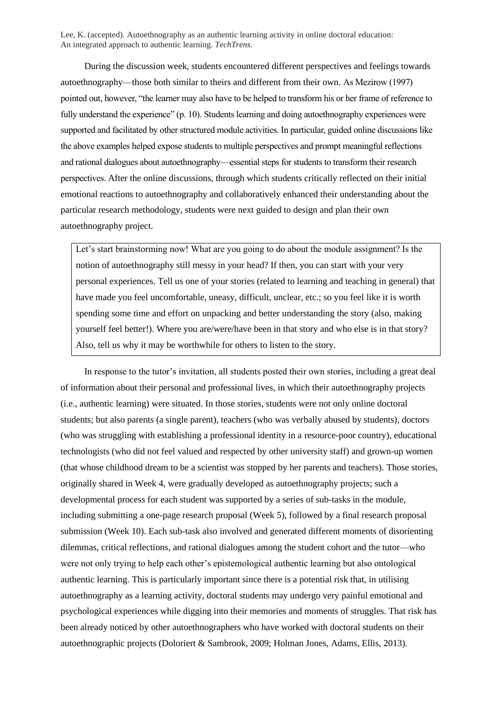During the discussion week, students encountered different perspectives and feelings towards autoethnography—those both similar to theirs and different from their own. As Mezirow (1997) pointed out, however, "the learner may also have to be helped to transform his or her frame of reference to fully understand the experience" (p. 10). Students learning and doing autoethnography experiences were supported and facilitated by other structured module activities. In particular, guided online discussions like the above examples helped expose students to multiple perspectives and prompt meaningful reflections and rational dialogues about autoethnography—essential steps for students to transform their research perspectives. After the online discussions, through which students critically reflected on their initial emotional reactions to autoethnography and collaboratively enhanced their understanding about the particular research methodology, students were next guided to design and plan their own autoethnography project.

Let's start brainstorming now! What are you going to do about the module assignment? Is the notion of autoethnography still messy in your head? If then, you can start with your very personal experiences. Tell us one of your stories (related to learning and teaching in general) that have made you feel uncomfortable, uneasy, difficult, unclear, etc.; so you feel like it is worth spending some time and effort on unpacking and better understanding the story (also, making yourself feel better!). Where you are/were/have been in that story and who else is in that story? Also, tell us why it may be worthwhile for others to listen to the story.

In response to the tutor's invitation, all students posted their own stories, including a great deal of information about their personal and professional lives, in which their autoethnography projects (i.e., authentic learning) were situated. In those stories, students were not only online doctoral students; but also parents (a single parent), teachers (who was verbally abused by students), doctors (who was struggling with establishing a professional identity in a resource-poor country), educational technologists (who did not feel valued and respected by other university staff) and grown-up women (that whose childhood dream to be a scientist was stopped by her parents and teachers). Those stories, originally shared in Week 4, were gradually developed as autoethnography projects; such a developmental process for each student was supported by a series of sub-tasks in the module, including submitting a one-page research proposal (Week 5), followed by a final research proposal submission (Week 10). Each sub-task also involved and generated different moments of disorienting dilemmas, critical reflections, and rational dialogues among the student cohort and the tutor—who were not only trying to help each other's epistemological authentic learning but also ontological authentic learning. This is particularly important since there is a potential risk that, in utilising autoethnography as a learning activity, doctoral students may undergo very painful emotional and psychological experiences while digging into their memories and moments of struggles. That risk has been already noticed by other autoethnographers who have worked with doctoral students on their autoethnographic projects (Doloriert & Sambrook, 2009; Holman Jones, Adams, Ellis, 2013).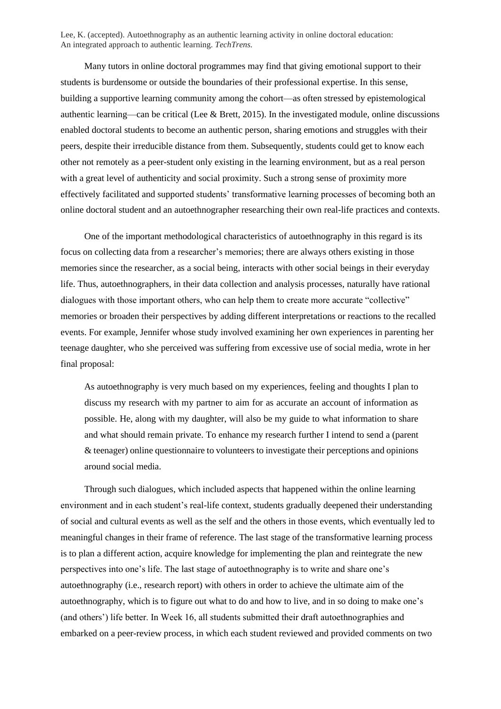Many tutors in online doctoral programmes may find that giving emotional support to their students is burdensome or outside the boundaries of their professional expertise. In this sense, building a supportive learning community among the cohort—as often stressed by epistemological authentic learning—can be critical (Lee  $\&$  Brett, 2015). In the investigated module, online discussions enabled doctoral students to become an authentic person, sharing emotions and struggles with their peers, despite their irreducible distance from them. Subsequently, students could get to know each other not remotely as a peer-student only existing in the learning environment, but as a real person with a great level of authenticity and social proximity. Such a strong sense of proximity more effectively facilitated and supported students' transformative learning processes of becoming both an online doctoral student and an autoethnographer researching their own real-life practices and contexts.

One of the important methodological characteristics of autoethnography in this regard is its focus on collecting data from a researcher's memories; there are always others existing in those memories since the researcher, as a social being, interacts with other social beings in their everyday life. Thus, autoethnographers, in their data collection and analysis processes, naturally have rational dialogues with those important others, who can help them to create more accurate "collective" memories or broaden their perspectives by adding different interpretations or reactions to the recalled events. For example, Jennifer whose study involved examining her own experiences in parenting her teenage daughter, who she perceived was suffering from excessive use of social media, wrote in her final proposal:

As autoethnography is very much based on my experiences, feeling and thoughts I plan to discuss my research with my partner to aim for as accurate an account of information as possible. He, along with my daughter, will also be my guide to what information to share and what should remain private. To enhance my research further I intend to send a (parent & teenager) online questionnaire to volunteers to investigate their perceptions and opinions around social media.

Through such dialogues, which included aspects that happened within the online learning environment and in each student's real-life context, students gradually deepened their understanding of social and cultural events as well as the self and the others in those events, which eventually led to meaningful changes in their frame of reference. The last stage of the transformative learning process is to plan a different action, acquire knowledge for implementing the plan and reintegrate the new perspectives into one's life. The last stage of autoethnography is to write and share one's autoethnography (i.e., research report) with others in order to achieve the ultimate aim of the autoethnography, which is to figure out what to do and how to live, and in so doing to make one's (and others') life better. In Week 16, all students submitted their draft autoethnographies and embarked on a peer-review process, in which each student reviewed and provided comments on two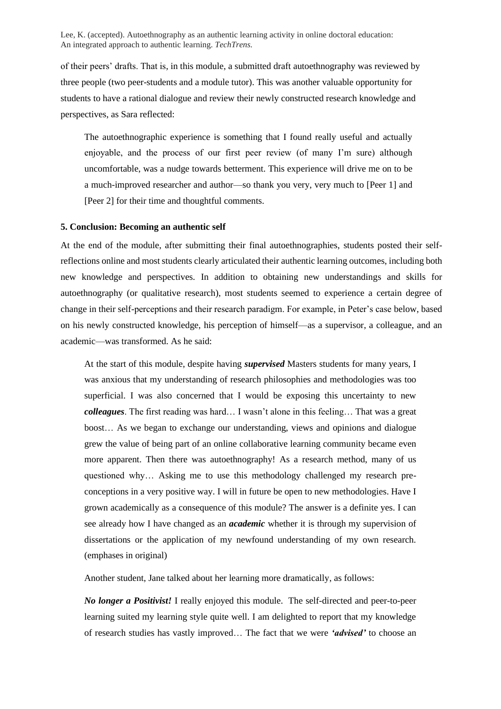of their peers' drafts. That is, in this module, a submitted draft autoethnography was reviewed by three people (two peer-students and a module tutor). This was another valuable opportunity for students to have a rational dialogue and review their newly constructed research knowledge and perspectives, as Sara reflected:

The autoethnographic experience is something that I found really useful and actually enjoyable, and the process of our first peer review (of many I'm sure) although uncomfortable, was a nudge towards betterment. This experience will drive me on to be a much-improved researcher and author—so thank you very, very much to [Peer 1] and [Peer 2] for their time and thoughtful comments.

#### **5. Conclusion: Becoming an authentic self**

At the end of the module, after submitting their final autoethnographies, students posted their selfreflections online and most students clearly articulated their authentic learning outcomes, including both new knowledge and perspectives. In addition to obtaining new understandings and skills for autoethnography (or qualitative research), most students seemed to experience a certain degree of change in their self-perceptions and their research paradigm. For example, in Peter's case below, based on his newly constructed knowledge, his perception of himself—as a supervisor, a colleague, and an academic—was transformed. As he said:

At the start of this module, despite having *supervised* Masters students for many years, I was anxious that my understanding of research philosophies and methodologies was too superficial. I was also concerned that I would be exposing this uncertainty to new *colleagues*. The first reading was hard… I wasn't alone in this feeling… That was a great boost… As we began to exchange our understanding, views and opinions and dialogue grew the value of being part of an online collaborative learning community became even more apparent. Then there was autoethnography! As a research method, many of us questioned why… Asking me to use this methodology challenged my research preconceptions in a very positive way. I will in future be open to new methodologies. Have I grown academically as a consequence of this module? The answer is a definite yes. I can see already how I have changed as an *academic* whether it is through my supervision of dissertations or the application of my newfound understanding of my own research. (emphases in original)

Another student, Jane talked about her learning more dramatically, as follows:

*No longer a Positivist!* I really enjoyed this module. The self-directed and peer-to-peer learning suited my learning style quite well. I am delighted to report that my knowledge of research studies has vastly improved… The fact that we were *'advised'* to choose an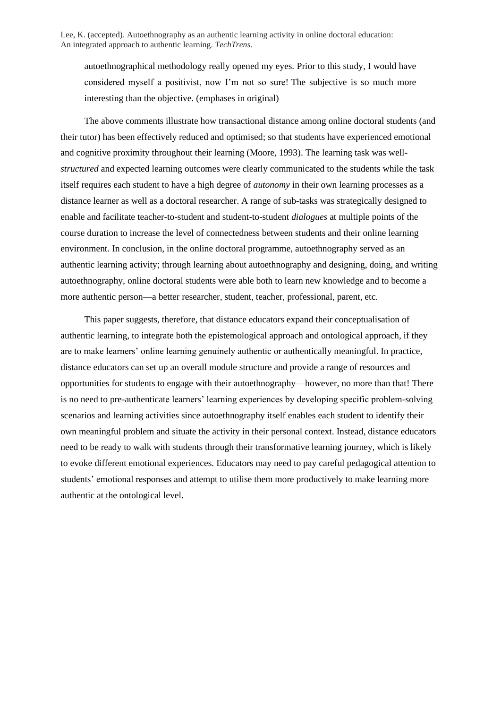autoethnographical methodology really opened my eyes. Prior to this study, I would have considered myself a positivist, now I'm not so sure! The subjective is so much more interesting than the objective. (emphases in original)

The above comments illustrate how transactional distance among online doctoral students (and their tutor) has been effectively reduced and optimised; so that students have experienced emotional and cognitive proximity throughout their learning (Moore, 1993). The learning task was well*structured* and expected learning outcomes were clearly communicated to the students while the task itself requires each student to have a high degree of *autonomy* in their own learning processes as a distance learner as well as a doctoral researcher. A range of sub-tasks was strategically designed to enable and facilitate teacher-to-student and student-to-student *dialogues* at multiple points of the course duration to increase the level of connectedness between students and their online learning environment. In conclusion, in the online doctoral programme, autoethnography served as an authentic learning activity; through learning about autoethnography and designing, doing, and writing autoethnography, online doctoral students were able both to learn new knowledge and to become a more authentic person—a better researcher, student, teacher, professional, parent, etc.

This paper suggests, therefore, that distance educators expand their conceptualisation of authentic learning, to integrate both the epistemological approach and ontological approach, if they are to make learners' online learning genuinely authentic or authentically meaningful. In practice, distance educators can set up an overall module structure and provide a range of resources and opportunities for students to engage with their autoethnography—however, no more than that! There is no need to pre-authenticate learners' learning experiences by developing specific problem-solving scenarios and learning activities since autoethnography itself enables each student to identify their own meaningful problem and situate the activity in their personal context. Instead, distance educators need to be ready to walk with students through their transformative learning journey, which is likely to evoke different emotional experiences. Educators may need to pay careful pedagogical attention to students' emotional responses and attempt to utilise them more productively to make learning more authentic at the ontological level.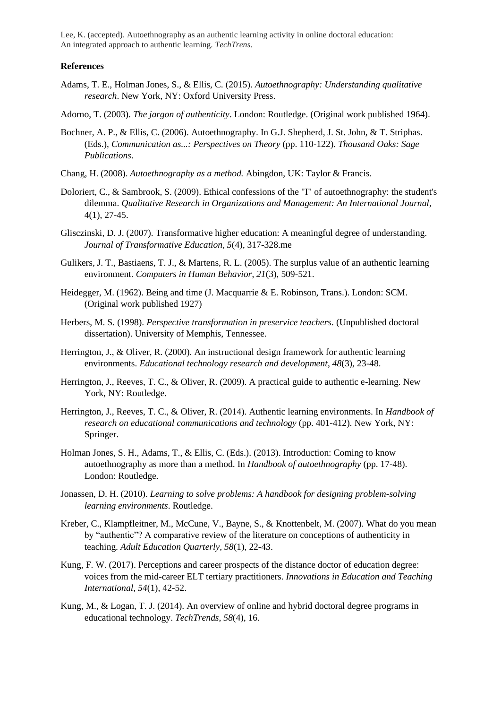#### **References**

- Adams, T. E., Holman Jones, S., & Ellis, C. (2015). *Autoethnography: Understanding qualitative research*. New York, NY: Oxford University Press.
- Adorno, T. (2003). *The jargon of authenticity*. London: Routledge. (Original work published 1964).
- Bochner, A. P., & Ellis, C. (2006). Autoethnography. In G.J. Shepherd, J. St. John, & T. Striphas. (Eds.), *Communication as...: Perspectives on Theory* (pp. 110-122)*. Thousand Oaks: Sage Publications*.
- Chang, H. (2008). *Autoethnography as a method.* Abingdon, UK: Taylor & Francis.
- Doloriert, C., & Sambrook, S. (2009). Ethical confessions of the "I" of autoethnography: the student's dilemma. *Qualitative Research in Organizations and Management: An International Journal,* 4(1), 27-45.
- Glisczinski, D. J. (2007). Transformative higher education: A meaningful degree of understanding. *Journal of Transformative Education, 5*(4), 317-328.me
- Gulikers, J. T., Bastiaens, T. J., & Martens, R. L. (2005). The surplus value of an authentic learning environment. *Computers in Human Behavior*, *21*(3), 509-521.
- Heidegger, M. (1962). Being and time (J. Macquarrie & E. Robinson, Trans.). London: SCM. (Original work published 1927)
- Herbers, M. S. (1998). *Perspective transformation in preservice teachers*. (Unpublished doctoral dissertation). University of Memphis, Tennessee.
- Herrington, J., & Oliver, R. (2000). An instructional design framework for authentic learning environments. *Educational technology research and development*, *48*(3), 23-48.
- Herrington, J., Reeves, T. C., & Oliver, R. (2009). A practical guide to authentic e-learning. New York, NY: Routledge.
- Herrington, J., Reeves, T. C., & Oliver, R. (2014). Authentic learning environments. In *Handbook of research on educational communications and technology* (pp. 401-412). New York, NY: Springer.
- Holman Jones, S. H., Adams, T., & Ellis, C. (Eds.). (2013). Introduction: Coming to know autoethnography as more than a method. In *Handbook of autoethnography* (pp. 17-48). London: Routledge.
- Jonassen, D. H. (2010). *Learning to solve problems: A handbook for designing problem-solving learning environments*. Routledge.
- Kreber, C., Klampfleitner, M., McCune, V., Bayne, S., & Knottenbelt, M. (2007). What do you mean by "authentic"? A comparative review of the literature on conceptions of authenticity in teaching. *Adult Education Quarterly*, *58*(1), 22-43.
- Kung, F. W. (2017). Perceptions and career prospects of the distance doctor of education degree: voices from the mid-career ELT tertiary practitioners. *Innovations in Education and Teaching International, 54*(1), 42-52.
- Kung, M., & Logan, T. J. (2014). An overview of online and hybrid doctoral degree programs in educational technology. *TechTrends*, *58*(4), 16.